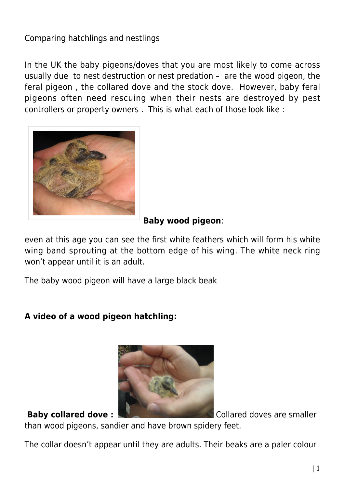# Comparing hatchlings and nestlings

In the UK the baby pigeons/doves that you are most likely to come across usually due to nest destruction or nest predation – are the wood pigeon, the feral pigeon , the collared dove and the stock dove. However, baby feral pigeons often need rescuing when their nests are destroyed by pest controllers or property owners . This is what each of those look like :



## **Baby wood pigeon**:

even at this age you can see the first white feathers which will form his white wing band sprouting at the bottom edge of his wing. The white neck ring won't appear until it is an adult.

The baby wood pigeon will have a large black beak

## **A video of a wood pigeon hatchling:**



**Baby collared dove :**  $\blacksquare$  Collared doves are smaller

than wood pigeons, sandier and have brown spidery feet.

The collar doesn't appear until they are adults. Their beaks are a paler colour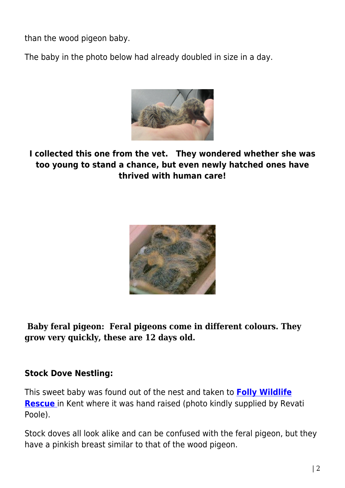than the wood pigeon baby.

The baby in the photo below had already doubled in size in a day.



**I collected this one from the vet. They wondered whether she was too young to stand a chance, but even newly hatched ones have thrived with human care!**



**Baby feral pigeon: Feral pigeons come in different colours. They grow very quickly, these are 12 days old.**

## **Stock Dove Nestling:**

This sweet baby was found out of the nest and taken to **[Folly Wildlife](http://www.follywildliferescue.org.uk/) [Rescue](http://www.follywildliferescue.org.uk/)** [i](http://www.follywildliferescue.org.uk/)n Kent where it was hand raised (photo kindly supplied by Revati Poole).

Stock doves all look alike and can be confused with the feral pigeon, but they have a pinkish breast similar to that of the wood pigeon.